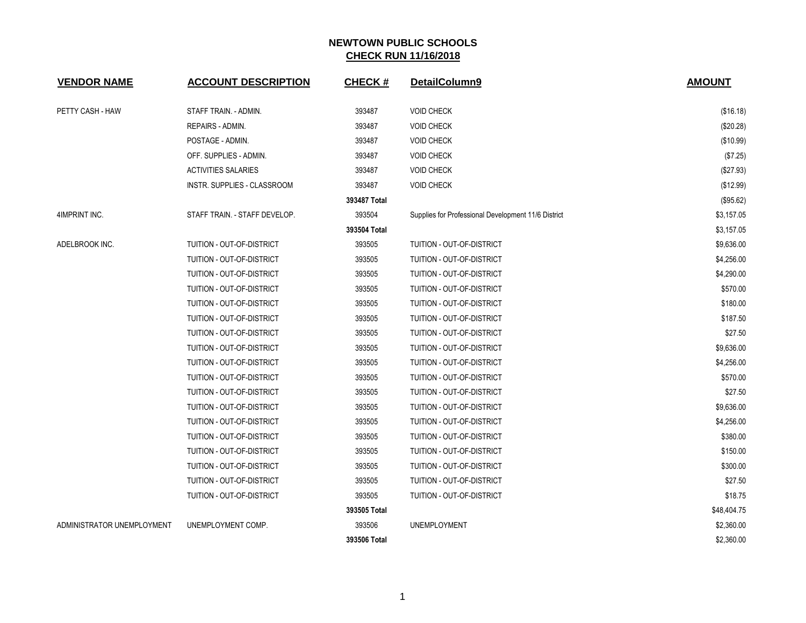| <b>VENDOR NAME</b>         | <b>ACCOUNT DESCRIPTION</b>         | <b>CHECK#</b> | DetailColumn9                                       | <b>AMOUNT</b> |
|----------------------------|------------------------------------|---------------|-----------------------------------------------------|---------------|
| PETTY CASH - HAW           | STAFF TRAIN. - ADMIN.              | 393487        | <b>VOID CHECK</b>                                   | (\$16.18)     |
|                            | REPAIRS - ADMIN.                   | 393487        | <b>VOID CHECK</b>                                   | (\$20.28)     |
|                            | POSTAGE - ADMIN.                   | 393487        | <b>VOID CHECK</b>                                   | (\$10.99)     |
|                            | OFF. SUPPLIES - ADMIN.             | 393487        | <b>VOID CHECK</b>                                   | (\$7.25)      |
|                            | <b>ACTIVITIES SALARIES</b>         | 393487        | <b>VOID CHECK</b>                                   | (\$27.93)     |
|                            | <b>INSTR. SUPPLIES - CLASSROOM</b> | 393487        | <b>VOID CHECK</b>                                   | (\$12.99)     |
|                            |                                    | 393487 Total  |                                                     | (\$95.62)     |
| 4IMPRINT INC.              | STAFF TRAIN. - STAFF DEVELOP.      | 393504        | Supplies for Professional Development 11/6 District | \$3,157.05    |
|                            |                                    | 393504 Total  |                                                     | \$3,157.05    |
| ADELBROOK INC.             | TUITION - OUT-OF-DISTRICT          | 393505        | TUITION - OUT-OF-DISTRICT                           | \$9,636.00    |
|                            | TUITION - OUT-OF-DISTRICT          | 393505        | TUITION - OUT-OF-DISTRICT                           | \$4,256.00    |
|                            | TUITION - OUT-OF-DISTRICT          | 393505        | TUITION - OUT-OF-DISTRICT                           | \$4,290.00    |
|                            | TUITION - OUT-OF-DISTRICT          | 393505        | TUITION - OUT-OF-DISTRICT                           | \$570.00      |
|                            | TUITION - OUT-OF-DISTRICT          | 393505        | TUITION - OUT-OF-DISTRICT                           | \$180.00      |
|                            | TUITION - OUT-OF-DISTRICT          | 393505        | TUITION - OUT-OF-DISTRICT                           | \$187.50      |
|                            | TUITION - OUT-OF-DISTRICT          | 393505        | TUITION - OUT-OF-DISTRICT                           | \$27.50       |
|                            | TUITION - OUT-OF-DISTRICT          | 393505        | TUITION - OUT-OF-DISTRICT                           | \$9,636.00    |
|                            | TUITION - OUT-OF-DISTRICT          | 393505        | TUITION - OUT-OF-DISTRICT                           | \$4,256.00    |
|                            | TUITION - OUT-OF-DISTRICT          | 393505        | TUITION - OUT-OF-DISTRICT                           | \$570.00      |
|                            | TUITION - OUT-OF-DISTRICT          | 393505        | TUITION - OUT-OF-DISTRICT                           | \$27.50       |
|                            | TUITION - OUT-OF-DISTRICT          | 393505        | TUITION - OUT-OF-DISTRICT                           | \$9,636.00    |
|                            | TUITION - OUT-OF-DISTRICT          | 393505        | TUITION - OUT-OF-DISTRICT                           | \$4,256.00    |
|                            | TUITION - OUT-OF-DISTRICT          | 393505        | TUITION - OUT-OF-DISTRICT                           | \$380.00      |
|                            | TUITION - OUT-OF-DISTRICT          | 393505        | TUITION - OUT-OF-DISTRICT                           | \$150.00      |
|                            | TUITION - OUT-OF-DISTRICT          | 393505        | TUITION - OUT-OF-DISTRICT                           | \$300.00      |
|                            | TUITION - OUT-OF-DISTRICT          | 393505        | TUITION - OUT-OF-DISTRICT                           | \$27.50       |
|                            | TUITION - OUT-OF-DISTRICT          | 393505        | TUITION - OUT-OF-DISTRICT                           | \$18.75       |
|                            |                                    | 393505 Total  |                                                     | \$48,404.75   |
| ADMINISTRATOR UNEMPLOYMENT | UNEMPLOYMENT COMP.                 | 393506        | <b>UNEMPLOYMENT</b>                                 | \$2,360.00    |
|                            |                                    | 393506 Total  |                                                     | \$2,360.00    |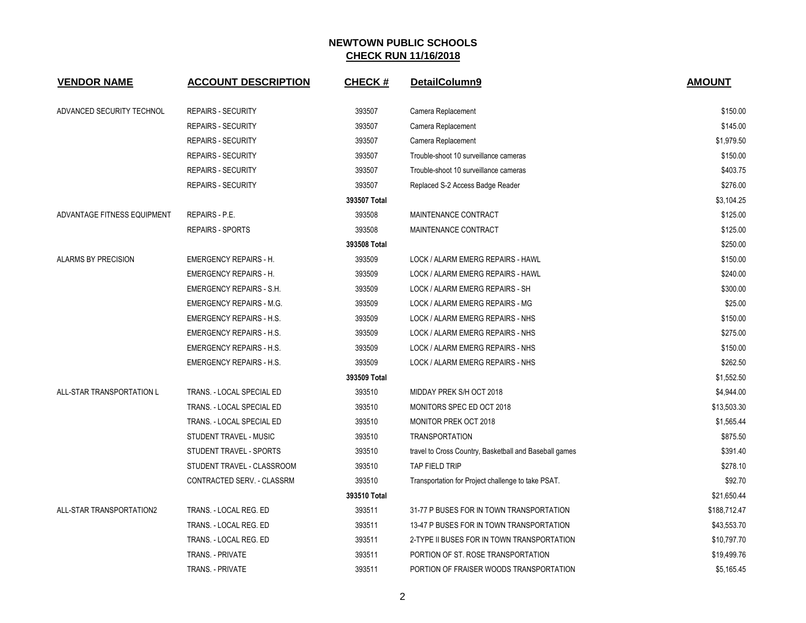| <b>VENDOR NAME</b>          | <b>ACCOUNT DESCRIPTION</b>      | <b>CHECK#</b> | DetailColumn9                                          | <b>AMOUNT</b> |
|-----------------------------|---------------------------------|---------------|--------------------------------------------------------|---------------|
| ADVANCED SECURITY TECHNOL   | <b>REPAIRS - SECURITY</b>       | 393507        | Camera Replacement                                     | \$150.00      |
|                             | <b>REPAIRS - SECURITY</b>       | 393507        | Camera Replacement                                     | \$145.00      |
|                             | <b>REPAIRS - SECURITY</b>       | 393507        | Camera Replacement                                     | \$1,979.50    |
|                             | <b>REPAIRS - SECURITY</b>       | 393507        | Trouble-shoot 10 surveillance cameras                  | \$150.00      |
|                             | <b>REPAIRS - SECURITY</b>       | 393507        | Trouble-shoot 10 surveillance cameras                  | \$403.75      |
|                             | <b>REPAIRS - SECURITY</b>       | 393507        | Replaced S-2 Access Badge Reader                       | \$276.00      |
|                             |                                 | 393507 Total  |                                                        | \$3,104.25    |
| ADVANTAGE FITNESS EQUIPMENT | <b>REPAIRS - P.E.</b>           | 393508        | MAINTENANCE CONTRACT                                   | \$125.00      |
|                             | <b>REPAIRS - SPORTS</b>         | 393508        | MAINTENANCE CONTRACT                                   | \$125.00      |
|                             |                                 | 393508 Total  |                                                        | \$250.00      |
| ALARMS BY PRECISION         | <b>EMERGENCY REPAIRS - H.</b>   | 393509        | LOCK / ALARM EMERG REPAIRS - HAWL                      | \$150.00      |
|                             | <b>EMERGENCY REPAIRS - H.</b>   | 393509        | LOCK / ALARM EMERG REPAIRS - HAWL                      | \$240.00      |
|                             | <b>EMERGENCY REPAIRS - S.H.</b> | 393509        | LOCK / ALARM EMERG REPAIRS - SH                        | \$300.00      |
|                             | <b>EMERGENCY REPAIRS - M.G.</b> | 393509        | LOCK / ALARM EMERG REPAIRS - MG                        | \$25.00       |
|                             | <b>EMERGENCY REPAIRS - H.S.</b> | 393509        | LOCK / ALARM EMERG REPAIRS - NHS                       | \$150.00      |
|                             | <b>EMERGENCY REPAIRS - H.S.</b> | 393509        | LOCK / ALARM EMERG REPAIRS - NHS                       | \$275.00      |
|                             | <b>EMERGENCY REPAIRS - H.S.</b> | 393509        | LOCK / ALARM EMERG REPAIRS - NHS                       | \$150.00      |
|                             | <b>EMERGENCY REPAIRS - H.S.</b> | 393509        | LOCK / ALARM EMERG REPAIRS - NHS                       | \$262.50      |
|                             |                                 | 393509 Total  |                                                        | \$1,552.50    |
| ALL-STAR TRANSPORTATION L   | TRANS. - LOCAL SPECIAL ED       | 393510        | MIDDAY PREK S/H OCT 2018                               | \$4,944.00    |
|                             | TRANS. - LOCAL SPECIAL ED       | 393510        | MONITORS SPEC ED OCT 2018                              | \$13,503.30   |
|                             | TRANS. - LOCAL SPECIAL ED       | 393510        | <b>MONITOR PREK OCT 2018</b>                           | \$1,565.44    |
|                             | STUDENT TRAVEL - MUSIC          | 393510        | <b>TRANSPORTATION</b>                                  | \$875.50      |
|                             | STUDENT TRAVEL - SPORTS         | 393510        | travel to Cross Country, Basketball and Baseball games | \$391.40      |
|                             | STUDENT TRAVEL - CLASSROOM      | 393510        | <b>TAP FIELD TRIP</b>                                  | \$278.10      |
|                             | CONTRACTED SERV. - CLASSRM      | 393510        | Transportation for Project challenge to take PSAT.     | \$92.70       |
|                             |                                 | 393510 Total  |                                                        | \$21,650.44   |
| ALL-STAR TRANSPORTATION2    | TRANS. - LOCAL REG. ED          | 393511        | 31-77 P BUSES FOR IN TOWN TRANSPORTATION               | \$188,712.47  |
|                             | TRANS. - LOCAL REG. ED          | 393511        | 13-47 P BUSES FOR IN TOWN TRANSPORTATION               | \$43,553.70   |
|                             | TRANS. - LOCAL REG. ED          | 393511        | 2-TYPE II BUSES FOR IN TOWN TRANSPORTATION             | \$10,797.70   |
|                             | TRANS. - PRIVATE                | 393511        | PORTION OF ST. ROSE TRANSPORTATION                     | \$19,499.76   |
|                             | <b>TRANS. - PRIVATE</b>         | 393511        | PORTION OF FRAISER WOODS TRANSPORTATION                | \$5,165.45    |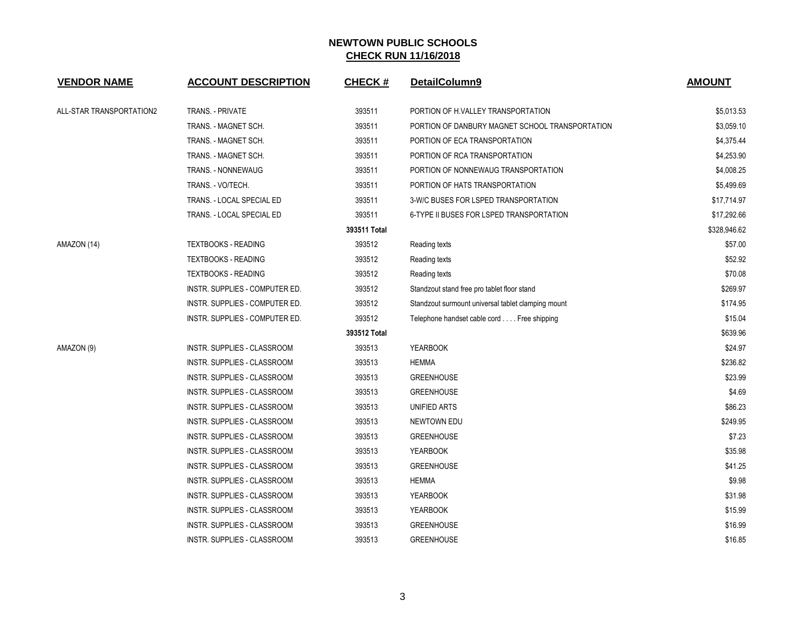| <b>VENDOR NAME</b>       | <b>ACCOUNT DESCRIPTION</b>         | <b>CHECK#</b> | DetailColumn9                                      | <b>AMOUNT</b> |
|--------------------------|------------------------------------|---------------|----------------------------------------------------|---------------|
| ALL-STAR TRANSPORTATION2 | <b>TRANS. - PRIVATE</b>            | 393511        | PORTION OF H.VALLEY TRANSPORTATION                 | \$5,013.53    |
|                          | TRANS. - MAGNET SCH.               | 393511        | PORTION OF DANBURY MAGNET SCHOOL TRANSPORTATION    | \$3,059.10    |
|                          | TRANS. - MAGNET SCH.               | 393511        | PORTION OF ECA TRANSPORTATION                      | \$4,375.44    |
|                          | TRANS. - MAGNET SCH.               | 393511        | PORTION OF RCA TRANSPORTATION                      | \$4,253.90    |
|                          | TRANS. - NONNEWAUG                 | 393511        | PORTION OF NONNEWAUG TRANSPORTATION                | \$4,008.25    |
|                          | TRANS. - VO/TECH.                  | 393511        | PORTION OF HATS TRANSPORTATION                     | \$5,499.69    |
|                          | TRANS. - LOCAL SPECIAL ED          | 393511        | 3-W/C BUSES FOR LSPED TRANSPORTATION               | \$17,714.97   |
|                          | TRANS. - LOCAL SPECIAL ED          | 393511        | 6-TYPE II BUSES FOR LSPED TRANSPORTATION           | \$17,292.66   |
|                          |                                    | 393511 Total  |                                                    | \$328,946.62  |
| AMAZON (14)              | <b>TEXTBOOKS - READING</b>         | 393512        | Reading texts                                      | \$57.00       |
|                          | <b>TEXTBOOKS - READING</b>         | 393512        | Reading texts                                      | \$52.92       |
|                          | <b>TEXTBOOKS - READING</b>         | 393512        | Reading texts                                      | \$70.08       |
|                          | INSTR. SUPPLIES - COMPUTER ED.     | 393512        | Standzout stand free pro tablet floor stand        | \$269.97      |
|                          | INSTR. SUPPLIES - COMPUTER ED.     | 393512        | Standzout surmount universal tablet clamping mount | \$174.95      |
|                          | INSTR. SUPPLIES - COMPUTER ED.     | 393512        | Telephone handset cable cord Free shipping         | \$15.04       |
|                          |                                    | 393512 Total  |                                                    | \$639.96      |
| AMAZON (9)               | INSTR. SUPPLIES - CLASSROOM        | 393513        | <b>YEARBOOK</b>                                    | \$24.97       |
|                          | INSTR. SUPPLIES - CLASSROOM        | 393513        | <b>HEMMA</b>                                       | \$236.82      |
|                          | INSTR. SUPPLIES - CLASSROOM        | 393513        | <b>GREENHOUSE</b>                                  | \$23.99       |
|                          | INSTR. SUPPLIES - CLASSROOM        | 393513        | <b>GREENHOUSE</b>                                  | \$4.69        |
|                          | INSTR. SUPPLIES - CLASSROOM        | 393513        | UNIFIED ARTS                                       | \$86.23       |
|                          | INSTR. SUPPLIES - CLASSROOM        | 393513        | NEWTOWN EDU                                        | \$249.95      |
|                          | INSTR. SUPPLIES - CLASSROOM        | 393513        | <b>GREENHOUSE</b>                                  | \$7.23        |
|                          | INSTR. SUPPLIES - CLASSROOM        | 393513        | <b>YEARBOOK</b>                                    | \$35.98       |
|                          | INSTR. SUPPLIES - CLASSROOM        | 393513        | <b>GREENHOUSE</b>                                  | \$41.25       |
|                          | INSTR. SUPPLIES - CLASSROOM        | 393513        | <b>HEMMA</b>                                       | \$9.98        |
|                          | INSTR. SUPPLIES - CLASSROOM        | 393513        | <b>YEARBOOK</b>                                    | \$31.98       |
|                          | INSTR. SUPPLIES - CLASSROOM        | 393513        | <b>YEARBOOK</b>                                    | \$15.99       |
|                          | <b>INSTR. SUPPLIES - CLASSROOM</b> | 393513        | <b>GREENHOUSE</b>                                  | \$16.99       |
|                          | INSTR. SUPPLIES - CLASSROOM        | 393513        | <b>GREENHOUSE</b>                                  | \$16.85       |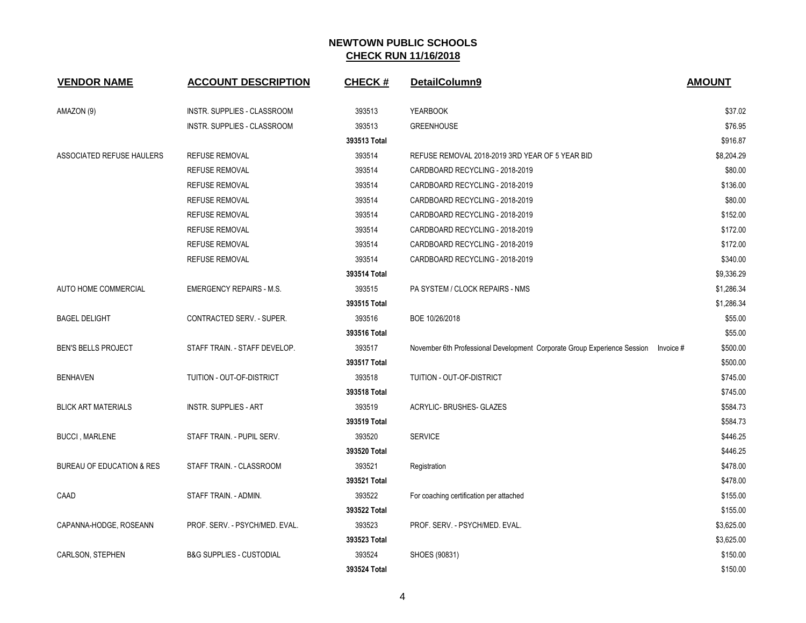| <b>VENDOR NAME</b>         | <b>ACCOUNT DESCRIPTION</b>          | <b>CHECK#</b> | DetailColumn9                                                                      | <b>AMOUNT</b> |
|----------------------------|-------------------------------------|---------------|------------------------------------------------------------------------------------|---------------|
| AMAZON (9)                 | INSTR. SUPPLIES - CLASSROOM         | 393513        | <b>YEARBOOK</b>                                                                    | \$37.02       |
|                            | INSTR. SUPPLIES - CLASSROOM         | 393513        | <b>GREENHOUSE</b>                                                                  | \$76.95       |
|                            |                                     | 393513 Total  |                                                                                    | \$916.87      |
| ASSOCIATED REFUSE HAULERS  | <b>REFUSE REMOVAL</b>               | 393514        | REFUSE REMOVAL 2018-2019 3RD YEAR OF 5 YEAR BID                                    | \$8,204.29    |
|                            | <b>REFUSE REMOVAL</b>               | 393514        | CARDBOARD RECYCLING - 2018-2019                                                    | \$80.00       |
|                            | <b>REFUSE REMOVAL</b>               | 393514        | CARDBOARD RECYCLING - 2018-2019                                                    | \$136.00      |
|                            | <b>REFUSE REMOVAL</b>               | 393514        | CARDBOARD RECYCLING - 2018-2019                                                    | \$80.00       |
|                            | <b>REFUSE REMOVAL</b>               | 393514        | CARDBOARD RECYCLING - 2018-2019                                                    | \$152.00      |
|                            | <b>REFUSE REMOVAL</b>               | 393514        | CARDBOARD RECYCLING - 2018-2019                                                    | \$172.00      |
|                            | <b>REFUSE REMOVAL</b>               | 393514        | CARDBOARD RECYCLING - 2018-2019                                                    | \$172.00      |
|                            | <b>REFUSE REMOVAL</b>               | 393514        | CARDBOARD RECYCLING - 2018-2019                                                    | \$340.00      |
|                            |                                     | 393514 Total  |                                                                                    | \$9,336.29    |
| AUTO HOME COMMERCIAL       | <b>EMERGENCY REPAIRS - M.S.</b>     | 393515        | PA SYSTEM / CLOCK REPAIRS - NMS                                                    | \$1,286.34    |
|                            |                                     | 393515 Total  |                                                                                    | \$1,286.34    |
| <b>BAGEL DELIGHT</b>       | CONTRACTED SERV. - SUPER.           | 393516        | BOE 10/26/2018                                                                     | \$55.00       |
|                            |                                     | 393516 Total  |                                                                                    | \$55.00       |
| <b>BEN'S BELLS PROJECT</b> | STAFF TRAIN. - STAFF DEVELOP.       | 393517        | November 6th Professional Development Corporate Group Experience Session Invoice # | \$500.00      |
|                            |                                     | 393517 Total  |                                                                                    | \$500.00      |
| <b>BENHAVEN</b>            | TUITION - OUT-OF-DISTRICT           | 393518        | TUITION - OUT-OF-DISTRICT                                                          | \$745.00      |
|                            |                                     | 393518 Total  |                                                                                    | \$745.00      |
| <b>BLICK ART MATERIALS</b> | <b>INSTR. SUPPLIES - ART</b>        | 393519        | ACRYLIC- BRUSHES- GLAZES                                                           | \$584.73      |
|                            |                                     | 393519 Total  |                                                                                    | \$584.73      |
| <b>BUCCI, MARLENE</b>      | STAFF TRAIN. - PUPIL SERV.          | 393520        | <b>SERVICE</b>                                                                     | \$446.25      |
|                            |                                     | 393520 Total  |                                                                                    | \$446.25      |
| BUREAU OF EDUCATION & RES  | STAFF TRAIN. - CLASSROOM            | 393521        | Registration                                                                       | \$478.00      |
|                            |                                     | 393521 Total  |                                                                                    | \$478.00      |
| CAAD                       | STAFF TRAIN. - ADMIN.               | 393522        | For coaching certification per attached                                            | \$155.00      |
|                            |                                     | 393522 Total  |                                                                                    | \$155.00      |
| CAPANNA-HODGE, ROSEANN     | PROF. SERV. - PSYCH/MED. EVAL.      | 393523        | PROF. SERV. - PSYCH/MED. EVAL.                                                     | \$3,625.00    |
|                            |                                     | 393523 Total  |                                                                                    | \$3,625.00    |
| CARLSON, STEPHEN           | <b>B&amp;G SUPPLIES - CUSTODIAL</b> | 393524        | SHOES (90831)                                                                      | \$150.00      |
|                            |                                     | 393524 Total  |                                                                                    | \$150.00      |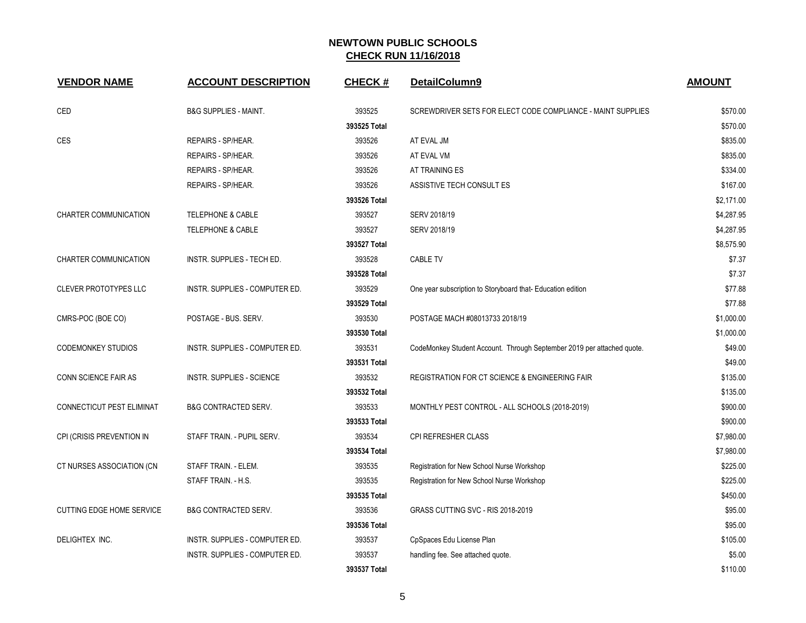| <b>VENDOR NAME</b>               | <b>ACCOUNT DESCRIPTION</b>        | <b>CHECK#</b> | DetailColumn9                                                          | <b>AMOUNT</b> |
|----------------------------------|-----------------------------------|---------------|------------------------------------------------------------------------|---------------|
| <b>CED</b>                       | <b>B&amp;G SUPPLIES - MAINT.</b>  | 393525        | SCREWDRIVER SETS FOR ELECT CODE COMPLIANCE - MAINT SUPPLIES            | \$570.00      |
|                                  |                                   | 393525 Total  |                                                                        | \$570.00      |
| CES                              | REPAIRS - SP/HEAR.                | 393526        | AT EVAL JM                                                             | \$835.00      |
|                                  | REPAIRS - SP/HEAR.                | 393526        | AT EVAL VM                                                             | \$835.00      |
|                                  | REPAIRS - SP/HEAR.                | 393526        | AT TRAINING ES                                                         | \$334.00      |
|                                  | REPAIRS - SP/HEAR.                | 393526        | ASSISTIVE TECH CONSULT ES                                              | \$167.00      |
|                                  |                                   | 393526 Total  |                                                                        | \$2,171.00    |
| CHARTER COMMUNICATION            | TELEPHONE & CABLE                 | 393527        | SERV 2018/19                                                           | \$4,287.95    |
|                                  | TELEPHONE & CABLE                 | 393527        | SERV 2018/19                                                           | \$4,287.95    |
|                                  |                                   | 393527 Total  |                                                                        | \$8,575.90    |
| <b>CHARTER COMMUNICATION</b>     | <b>INSTR. SUPPLIES - TECH ED.</b> | 393528        | <b>CABLE TV</b>                                                        | \$7.37        |
|                                  |                                   | 393528 Total  |                                                                        | \$7.37        |
| <b>CLEVER PROTOTYPES LLC</b>     | INSTR. SUPPLIES - COMPUTER ED.    | 393529        | One year subscription to Storyboard that- Education edition            | \$77.88       |
|                                  |                                   | 393529 Total  |                                                                        | \$77.88       |
| CMRS-POC (BOE CO)                | POSTAGE - BUS. SERV.              | 393530        | POSTAGE MACH #08013733 2018/19                                         | \$1,000.00    |
|                                  |                                   | 393530 Total  |                                                                        | \$1,000.00    |
| <b>CODEMONKEY STUDIOS</b>        | INSTR. SUPPLIES - COMPUTER ED.    | 393531        | CodeMonkey Student Account. Through September 2019 per attached quote. | \$49.00       |
|                                  |                                   | 393531 Total  |                                                                        | \$49.00       |
| CONN SCIENCE FAIR AS             | <b>INSTR. SUPPLIES - SCIENCE</b>  | 393532        | <b>REGISTRATION FOR CT SCIENCE &amp; ENGINEERING FAIR</b>              | \$135.00      |
|                                  |                                   | 393532 Total  |                                                                        | \$135.00      |
| CONNECTICUT PEST ELIMINAT        | <b>B&amp;G CONTRACTED SERV.</b>   | 393533        | MONTHLY PEST CONTROL - ALL SCHOOLS (2018-2019)                         | \$900.00      |
|                                  |                                   | 393533 Total  |                                                                        | \$900.00      |
| CPI (CRISIS PREVENTION IN        | STAFF TRAIN. - PUPIL SERV.        | 393534        | CPI REFRESHER CLASS                                                    | \$7,980.00    |
|                                  |                                   | 393534 Total  |                                                                        | \$7,980.00    |
| CT NURSES ASSOCIATION (CN        | STAFF TRAIN. - ELEM.              | 393535        | Registration for New School Nurse Workshop                             | \$225.00      |
|                                  | STAFF TRAIN. - H.S.               | 393535        | Registration for New School Nurse Workshop                             | \$225.00      |
|                                  |                                   | 393535 Total  |                                                                        | \$450.00      |
| <b>CUTTING EDGE HOME SERVICE</b> | <b>B&amp;G CONTRACTED SERV.</b>   | 393536        | GRASS CUTTING SVC - RIS 2018-2019                                      | \$95.00       |
|                                  |                                   | 393536 Total  |                                                                        | \$95.00       |
| DELIGHTEX INC.                   | INSTR. SUPPLIES - COMPUTER ED.    | 393537        | CpSpaces Edu License Plan                                              | \$105.00      |
|                                  | INSTR. SUPPLIES - COMPUTER ED.    | 393537        | handling fee. See attached quote.                                      | \$5.00        |
|                                  |                                   | 393537 Total  |                                                                        | \$110.00      |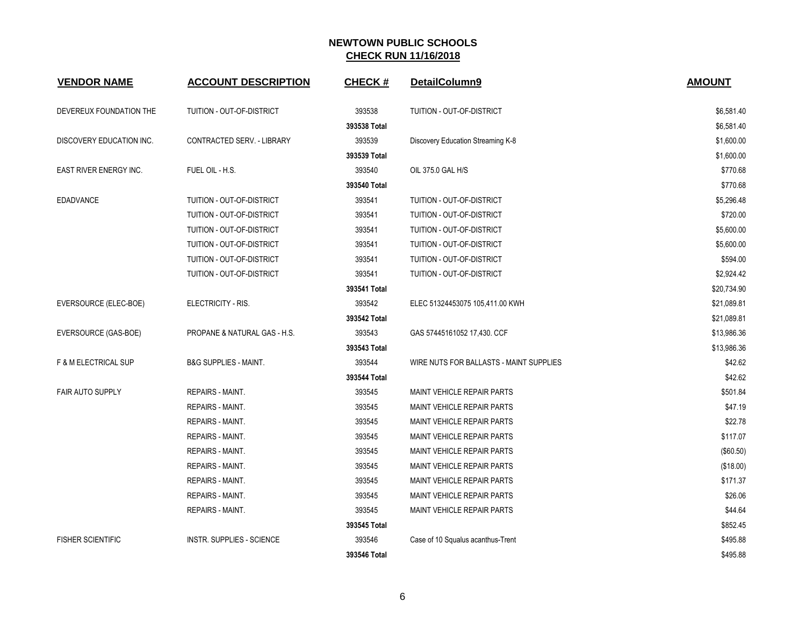| <b>VENDOR NAME</b>       | <b>ACCOUNT DESCRIPTION</b>       | <b>CHECK#</b> | DetailColumn9                           | <b>AMOUNT</b> |
|--------------------------|----------------------------------|---------------|-----------------------------------------|---------------|
| DEVEREUX FOUNDATION THE  | TUITION - OUT-OF-DISTRICT        | 393538        | TUITION - OUT-OF-DISTRICT               | \$6,581.40    |
|                          |                                  | 393538 Total  |                                         | \$6,581.40    |
| DISCOVERY EDUCATION INC. | CONTRACTED SERV. - LIBRARY       | 393539        | Discovery Education Streaming K-8       | \$1,600.00    |
|                          |                                  | 393539 Total  |                                         | \$1,600.00    |
| EAST RIVER ENERGY INC.   | FUEL OIL - H.S.                  | 393540        | OIL 375.0 GAL H/S                       | \$770.68      |
|                          |                                  | 393540 Total  |                                         | \$770.68      |
| <b>EDADVANCE</b>         | TUITION - OUT-OF-DISTRICT        | 393541        | TUITION - OUT-OF-DISTRICT               | \$5,296.48    |
|                          | TUITION - OUT-OF-DISTRICT        | 393541        | TUITION - OUT-OF-DISTRICT               | \$720.00      |
|                          | TUITION - OUT-OF-DISTRICT        | 393541        | TUITION - OUT-OF-DISTRICT               | \$5,600.00    |
|                          | TUITION - OUT-OF-DISTRICT        | 393541        | TUITION - OUT-OF-DISTRICT               | \$5,600.00    |
|                          | TUITION - OUT-OF-DISTRICT        | 393541        | TUITION - OUT-OF-DISTRICT               | \$594.00      |
|                          | TUITION - OUT-OF-DISTRICT        | 393541        | TUITION - OUT-OF-DISTRICT               | \$2,924.42    |
|                          |                                  | 393541 Total  |                                         | \$20,734.90   |
| EVERSOURCE (ELEC-BOE)    | ELECTRICITY - RIS.               | 393542        | ELEC 51324453075 105,411.00 KWH         | \$21,089.81   |
|                          |                                  | 393542 Total  |                                         | \$21,089.81   |
| EVERSOURCE (GAS-BOE)     | PROPANE & NATURAL GAS - H.S.     | 393543        | GAS 57445161052 17,430. CCF             | \$13,986.36   |
|                          |                                  | 393543 Total  |                                         | \$13,986.36   |
| F & M ELECTRICAL SUP     | <b>B&amp;G SUPPLIES - MAINT.</b> | 393544        | WIRE NUTS FOR BALLASTS - MAINT SUPPLIES | \$42.62       |
|                          |                                  | 393544 Total  |                                         | \$42.62       |
| <b>FAIR AUTO SUPPLY</b>  | <b>REPAIRS - MAINT.</b>          | 393545        | <b>MAINT VEHICLE REPAIR PARTS</b>       | \$501.84      |
|                          | <b>REPAIRS - MAINT.</b>          | 393545        | <b>MAINT VEHICLE REPAIR PARTS</b>       | \$47.19       |
|                          | REPAIRS - MAINT.                 | 393545        | <b>MAINT VEHICLE REPAIR PARTS</b>       | \$22.78       |
|                          | REPAIRS - MAINT.                 | 393545        | MAINT VEHICLE REPAIR PARTS              | \$117.07      |
|                          | REPAIRS - MAINT.                 | 393545        | <b>MAINT VEHICLE REPAIR PARTS</b>       | (\$60.50)     |
|                          | REPAIRS - MAINT.                 | 393545        | <b>MAINT VEHICLE REPAIR PARTS</b>       | (\$18.00)     |
|                          | REPAIRS - MAINT.                 | 393545        | <b>MAINT VEHICLE REPAIR PARTS</b>       | \$171.37      |
|                          | <b>REPAIRS - MAINT.</b>          | 393545        | <b>MAINT VEHICLE REPAIR PARTS</b>       | \$26.06       |
|                          | REPAIRS - MAINT.                 | 393545        | <b>MAINT VEHICLE REPAIR PARTS</b>       | \$44.64       |
|                          |                                  | 393545 Total  |                                         | \$852.45      |
| <b>FISHER SCIENTIFIC</b> | <b>INSTR. SUPPLIES - SCIENCE</b> | 393546        | Case of 10 Squalus acanthus-Trent       | \$495.88      |
|                          |                                  | 393546 Total  |                                         | \$495.88      |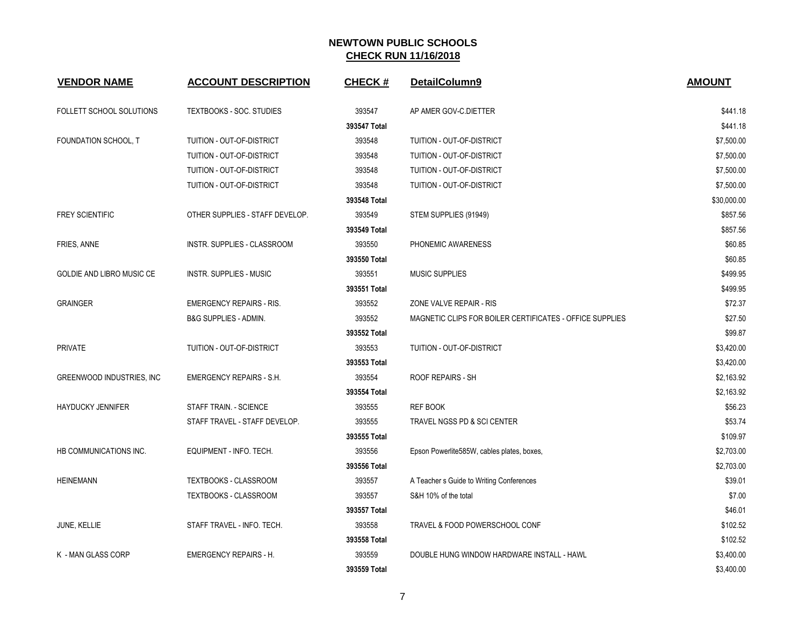| <b>VENDOR NAME</b>        | <b>ACCOUNT DESCRIPTION</b>       | <b>CHECK#</b> | DetailColumn9                                            | <b>AMOUNT</b> |
|---------------------------|----------------------------------|---------------|----------------------------------------------------------|---------------|
| FOLLETT SCHOOL SOLUTIONS  | <b>TEXTBOOKS - SOC. STUDIES</b>  | 393547        | AP AMER GOV-C.DIETTER                                    | \$441.18      |
|                           |                                  | 393547 Total  |                                                          | \$441.18      |
| FOUNDATION SCHOOL, T      | TUITION - OUT-OF-DISTRICT        | 393548        | TUITION - OUT-OF-DISTRICT                                | \$7,500.00    |
|                           | TUITION - OUT-OF-DISTRICT        | 393548        | TUITION - OUT-OF-DISTRICT                                | \$7,500.00    |
|                           | TUITION - OUT-OF-DISTRICT        | 393548        | TUITION - OUT-OF-DISTRICT                                | \$7,500.00    |
|                           | TUITION - OUT-OF-DISTRICT        | 393548        | TUITION - OUT-OF-DISTRICT                                | \$7,500.00    |
|                           |                                  | 393548 Total  |                                                          | \$30,000.00   |
| <b>FREY SCIENTIFIC</b>    | OTHER SUPPLIES - STAFF DEVELOP.  | 393549        | STEM SUPPLIES (91949)                                    | \$857.56      |
|                           |                                  | 393549 Total  |                                                          | \$857.56      |
| FRIES, ANNE               | INSTR. SUPPLIES - CLASSROOM      | 393550        | PHONEMIC AWARENESS                                       | \$60.85       |
|                           |                                  | 393550 Total  |                                                          | \$60.85       |
| GOLDIE AND LIBRO MUSIC CE | <b>INSTR. SUPPLIES - MUSIC</b>   | 393551        | <b>MUSIC SUPPLIES</b>                                    | \$499.95      |
|                           |                                  | 393551 Total  |                                                          | \$499.95      |
| <b>GRAINGER</b>           | <b>EMERGENCY REPAIRS - RIS.</b>  | 393552        | ZONE VALVE REPAIR - RIS                                  | \$72.37       |
|                           | <b>B&amp;G SUPPLIES - ADMIN.</b> | 393552        | MAGNETIC CLIPS FOR BOILER CERTIFICATES - OFFICE SUPPLIES | \$27.50       |
|                           |                                  | 393552 Total  |                                                          | \$99.87       |
| <b>PRIVATE</b>            | TUITION - OUT-OF-DISTRICT        | 393553        | TUITION - OUT-OF-DISTRICT                                | \$3,420.00    |
|                           |                                  | 393553 Total  |                                                          | \$3,420.00    |
| GREENWOOD INDUSTRIES, INC | <b>EMERGENCY REPAIRS - S.H.</b>  | 393554        | <b>ROOF REPAIRS - SH</b>                                 | \$2,163.92    |
|                           |                                  | 393554 Total  |                                                          | \$2,163.92    |
| <b>HAYDUCKY JENNIFER</b>  | STAFF TRAIN. - SCIENCE           | 393555        | <b>REF BOOK</b>                                          | \$56.23       |
|                           | STAFF TRAVEL - STAFF DEVELOP.    | 393555        | TRAVEL NGSS PD & SCI CENTER                              | \$53.74       |
|                           |                                  | 393555 Total  |                                                          | \$109.97      |
| HB COMMUNICATIONS INC.    | EQUIPMENT - INFO. TECH.          | 393556        | Epson Powerlite585W, cables plates, boxes,               | \$2,703.00    |
|                           |                                  | 393556 Total  |                                                          | \$2,703.00    |
| <b>HEINEMANN</b>          | <b>TEXTBOOKS - CLASSROOM</b>     | 393557        | A Teacher s Guide to Writing Conferences                 | \$39.01       |
|                           | TEXTBOOKS - CLASSROOM            | 393557        | S&H 10% of the total                                     | \$7.00        |
|                           |                                  | 393557 Total  |                                                          | \$46.01       |
| JUNE, KELLIE              | STAFF TRAVEL - INFO. TECH.       | 393558        | TRAVEL & FOOD POWERSCHOOL CONF                           | \$102.52      |
|                           |                                  | 393558 Total  |                                                          | \$102.52      |
| K - MAN GLASS CORP        | <b>EMERGENCY REPAIRS - H.</b>    | 393559        | DOUBLE HUNG WINDOW HARDWARE INSTALL - HAWL               | \$3,400.00    |
|                           |                                  | 393559 Total  |                                                          | \$3,400.00    |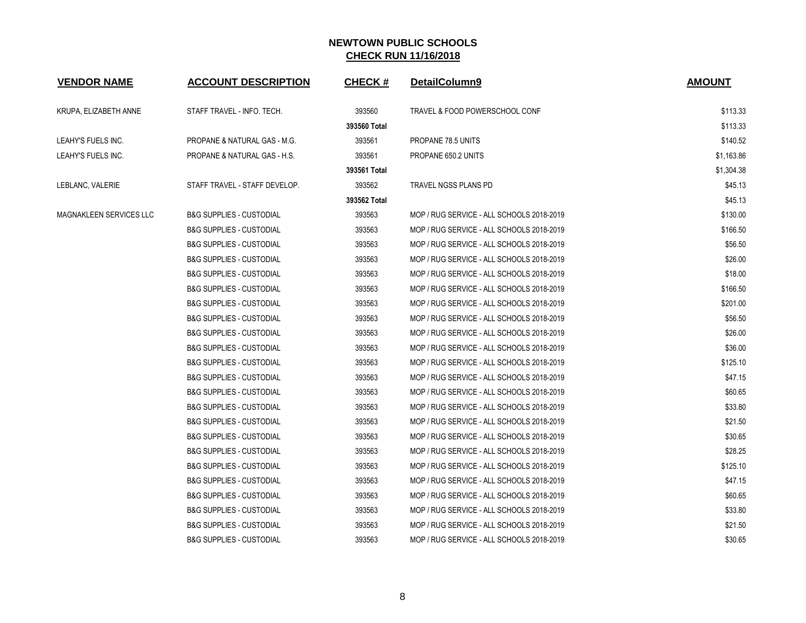| <b>VENDOR NAME</b>      | <b>ACCOUNT DESCRIPTION</b>          | <b>CHECK#</b> | DetailColumn9                             | <b>AMOUNT</b> |
|-------------------------|-------------------------------------|---------------|-------------------------------------------|---------------|
| KRUPA, ELIZABETH ANNE   | STAFF TRAVEL - INFO. TECH.          | 393560        | TRAVEL & FOOD POWERSCHOOL CONF            | \$113.33      |
|                         |                                     | 393560 Total  |                                           | \$113.33      |
| LEAHY'S FUELS INC.      | PROPANE & NATURAL GAS - M.G.        | 393561        | PROPANE 78.5 UNITS                        | \$140.52      |
| LEAHY'S FUELS INC.      | PROPANE & NATURAL GAS - H.S.        | 393561        | PROPANE 650.2 UNITS                       | \$1,163.86    |
|                         |                                     | 393561 Total  |                                           | \$1,304.38    |
| LEBLANC, VALERIE        | STAFF TRAVEL - STAFF DEVELOP.       | 393562        | TRAVEL NGSS PLANS PD                      | \$45.13       |
|                         |                                     | 393562 Total  |                                           | \$45.13       |
| MAGNAKLEEN SERVICES LLC | <b>B&amp;G SUPPLIES - CUSTODIAL</b> | 393563        | MOP / RUG SERVICE - ALL SCHOOLS 2018-2019 | \$130.00      |
|                         | <b>B&amp;G SUPPLIES - CUSTODIAL</b> | 393563        | MOP / RUG SERVICE - ALL SCHOOLS 2018-2019 | \$166.50      |
|                         | <b>B&amp;G SUPPLIES - CUSTODIAL</b> | 393563        | MOP / RUG SERVICE - ALL SCHOOLS 2018-2019 | \$56.50       |
|                         | <b>B&amp;G SUPPLIES - CUSTODIAL</b> | 393563        | MOP / RUG SERVICE - ALL SCHOOLS 2018-2019 | \$26.00       |
|                         | <b>B&amp;G SUPPLIES - CUSTODIAL</b> | 393563        | MOP / RUG SERVICE - ALL SCHOOLS 2018-2019 | \$18.00       |
|                         | <b>B&amp;G SUPPLIES - CUSTODIAL</b> | 393563        | MOP / RUG SERVICE - ALL SCHOOLS 2018-2019 | \$166.50      |
|                         | <b>B&amp;G SUPPLIES - CUSTODIAL</b> | 393563        | MOP / RUG SERVICE - ALL SCHOOLS 2018-2019 | \$201.00      |
|                         | <b>B&amp;G SUPPLIES - CUSTODIAL</b> | 393563        | MOP / RUG SERVICE - ALL SCHOOLS 2018-2019 | \$56.50       |
|                         | <b>B&amp;G SUPPLIES - CUSTODIAL</b> | 393563        | MOP / RUG SERVICE - ALL SCHOOLS 2018-2019 | \$26.00       |
|                         | <b>B&amp;G SUPPLIES - CUSTODIAL</b> | 393563        | MOP / RUG SERVICE - ALL SCHOOLS 2018-2019 | \$36.00       |
|                         | <b>B&amp;G SUPPLIES - CUSTODIAL</b> | 393563        | MOP / RUG SERVICE - ALL SCHOOLS 2018-2019 | \$125.10      |
|                         | <b>B&amp;G SUPPLIES - CUSTODIAL</b> | 393563        | MOP / RUG SERVICE - ALL SCHOOLS 2018-2019 | \$47.15       |
|                         | <b>B&amp;G SUPPLIES - CUSTODIAL</b> | 393563        | MOP / RUG SERVICE - ALL SCHOOLS 2018-2019 | \$60.65       |
|                         | <b>B&amp;G SUPPLIES - CUSTODIAL</b> | 393563        | MOP / RUG SERVICE - ALL SCHOOLS 2018-2019 | \$33.80       |
|                         | <b>B&amp;G SUPPLIES - CUSTODIAL</b> | 393563        | MOP / RUG SERVICE - ALL SCHOOLS 2018-2019 | \$21.50       |
|                         | <b>B&amp;G SUPPLIES - CUSTODIAL</b> | 393563        | MOP / RUG SERVICE - ALL SCHOOLS 2018-2019 | \$30.65       |
|                         | <b>B&amp;G SUPPLIES - CUSTODIAL</b> | 393563        | MOP / RUG SERVICE - ALL SCHOOLS 2018-2019 | \$28.25       |
|                         | <b>B&amp;G SUPPLIES - CUSTODIAL</b> | 393563        | MOP / RUG SERVICE - ALL SCHOOLS 2018-2019 | \$125.10      |
|                         | <b>B&amp;G SUPPLIES - CUSTODIAL</b> | 393563        | MOP / RUG SERVICE - ALL SCHOOLS 2018-2019 | \$47.15       |
|                         | <b>B&amp;G SUPPLIES - CUSTODIAL</b> | 393563        | MOP / RUG SERVICE - ALL SCHOOLS 2018-2019 | \$60.65       |
|                         | <b>B&amp;G SUPPLIES - CUSTODIAL</b> | 393563        | MOP / RUG SERVICE - ALL SCHOOLS 2018-2019 | \$33.80       |
|                         | <b>B&amp;G SUPPLIES - CUSTODIAL</b> | 393563        | MOP / RUG SERVICE - ALL SCHOOLS 2018-2019 | \$21.50       |
|                         | <b>B&amp;G SUPPLIES - CUSTODIAL</b> | 393563        | MOP / RUG SERVICE - ALL SCHOOLS 2018-2019 | \$30.65       |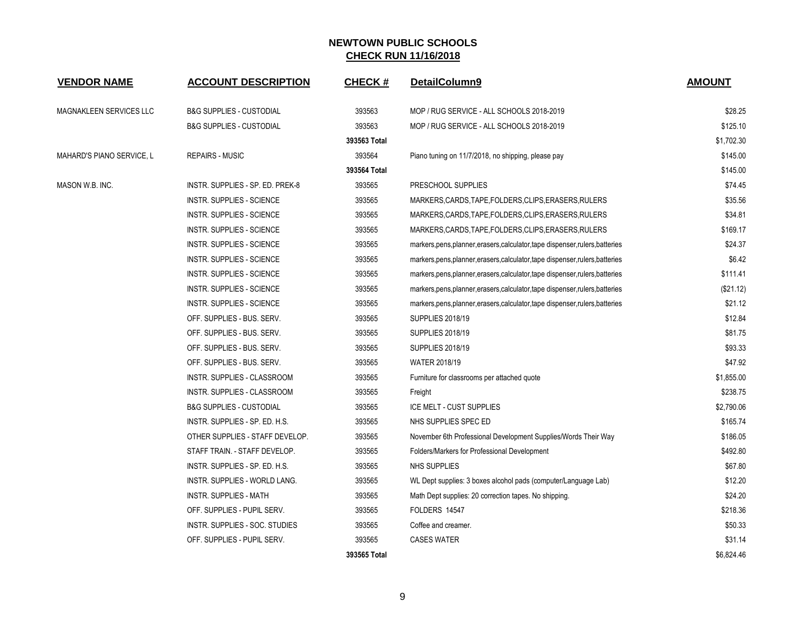| <b>VENDOR NAME</b>             | <b>ACCOUNT DESCRIPTION</b>          | <b>CHECK#</b> | DetailColumn9                                                                  | <b>AMOUNT</b> |
|--------------------------------|-------------------------------------|---------------|--------------------------------------------------------------------------------|---------------|
| <b>MAGNAKLEEN SERVICES LLC</b> | <b>B&amp;G SUPPLIES - CUSTODIAL</b> | 393563        | MOP / RUG SERVICE - ALL SCHOOLS 2018-2019                                      | \$28.25       |
|                                | <b>B&amp;G SUPPLIES - CUSTODIAL</b> | 393563        | MOP / RUG SERVICE - ALL SCHOOLS 2018-2019                                      | \$125.10      |
|                                |                                     | 393563 Total  |                                                                                | \$1,702.30    |
| MAHARD'S PIANO SERVICE, L      | <b>REPAIRS - MUSIC</b>              | 393564        | Piano tuning on 11/7/2018, no shipping, please pay                             | \$145.00      |
|                                |                                     | 393564 Total  |                                                                                | \$145.00      |
| MASON W.B. INC.                | INSTR. SUPPLIES - SP. ED. PREK-8    | 393565        | PRESCHOOL SUPPLIES                                                             | \$74.45       |
|                                | <b>INSTR. SUPPLIES - SCIENCE</b>    | 393565        | MARKERS.CARDS.TAPE.FOLDERS.CLIPS.ERASERS.RULERS                                | \$35.56       |
|                                | INSTR. SUPPLIES - SCIENCE           | 393565        | MARKERS,CARDS,TAPE,FOLDERS,CLIPS,ERASERS,RULERS                                | \$34.81       |
|                                | INSTR. SUPPLIES - SCIENCE           | 393565        | MARKERS,CARDS,TAPE,FOLDERS,CLIPS,ERASERS,RULERS                                | \$169.17      |
|                                | INSTR. SUPPLIES - SCIENCE           | 393565        | markers, pens, planner, erasers, calculator, tape dispenser, rulers, batteries | \$24.37       |
|                                | INSTR. SUPPLIES - SCIENCE           | 393565        | markers, pens, planner, erasers, calculator, tape dispenser, rulers, batteries | \$6.42        |
|                                | <b>INSTR. SUPPLIES - SCIENCE</b>    | 393565        | markers, pens, planner, erasers, calculator, tape dispenser, rulers, batteries | \$111.41      |
|                                | <b>INSTR. SUPPLIES - SCIENCE</b>    | 393565        | markers, pens, planner, erasers, calculator, tape dispenser, rulers, batteries | (\$21.12)     |
|                                | INSTR. SUPPLIES - SCIENCE           | 393565        | markers, pens, planner, erasers, calculator, tape dispenser, rulers, batteries | \$21.12       |
|                                | OFF. SUPPLIES - BUS. SERV.          | 393565        | <b>SUPPLIES 2018/19</b>                                                        | \$12.84       |
|                                | OFF. SUPPLIES - BUS. SERV.          | 393565        | <b>SUPPLIES 2018/19</b>                                                        | \$81.75       |
|                                | OFF. SUPPLIES - BUS. SERV.          | 393565        | <b>SUPPLIES 2018/19</b>                                                        | \$93.33       |
|                                | OFF. SUPPLIES - BUS. SERV.          | 393565        | <b>WATER 2018/19</b>                                                           | \$47.92       |
|                                | <b>INSTR. SUPPLIES - CLASSROOM</b>  | 393565        | Furniture for classrooms per attached quote                                    | \$1,855.00    |
|                                | INSTR. SUPPLIES - CLASSROOM         | 393565        | Freight                                                                        | \$238.75      |
|                                | <b>B&amp;G SUPPLIES - CUSTODIAL</b> | 393565        | ICE MELT - CUST SUPPLIES                                                       | \$2,790.06    |
|                                | INSTR. SUPPLIES - SP. ED. H.S.      | 393565        | NHS SUPPLIES SPEC ED                                                           | \$165.74      |
|                                | OTHER SUPPLIES - STAFF DEVELOP.     | 393565        | November 6th Professional Development Supplies/Words Their Way                 | \$186.05      |
|                                | STAFF TRAIN. - STAFF DEVELOP.       | 393565        | Folders/Markers for Professional Development                                   | \$492.80      |
|                                | INSTR. SUPPLIES - SP. ED. H.S.      | 393565        | NHS SUPPLIES                                                                   | \$67.80       |
|                                | INSTR. SUPPLIES - WORLD LANG.       | 393565        | WL Dept supplies: 3 boxes alcohol pads (computer/Language Lab)                 | \$12.20       |
|                                | INSTR. SUPPLIES - MATH              | 393565        | Math Dept supplies: 20 correction tapes. No shipping.                          | \$24.20       |
|                                | OFF. SUPPLIES - PUPIL SERV.         | 393565        | FOLDERS 14547                                                                  | \$218.36      |
|                                | INSTR. SUPPLIES - SOC. STUDIES      | 393565        | Coffee and creamer.                                                            | \$50.33       |
|                                | OFF. SUPPLIES - PUPIL SERV.         | 393565        | <b>CASES WATER</b>                                                             | \$31.14       |
|                                |                                     | 393565 Total  |                                                                                | \$6,824.46    |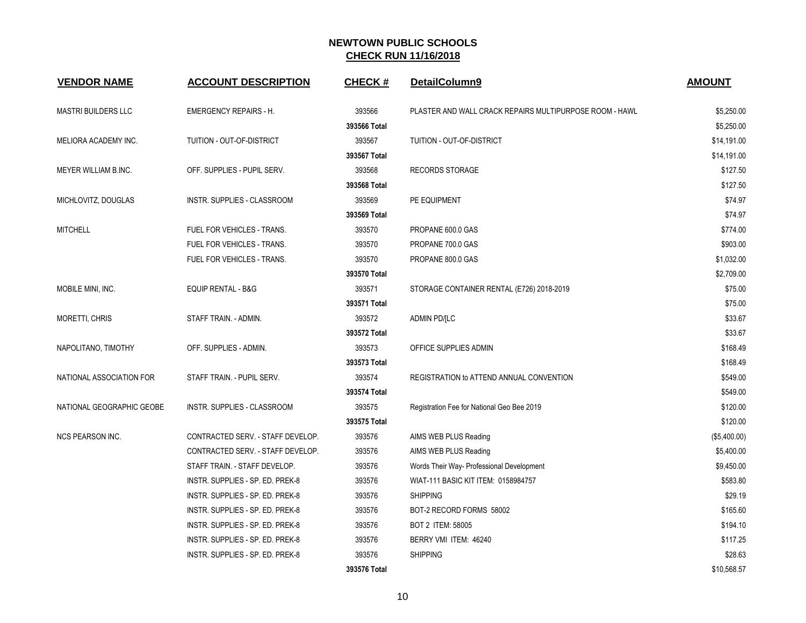| <b>VENDOR NAME</b>         | <b>ACCOUNT DESCRIPTION</b>        | <b>CHECK#</b> | DetailColumn9                                           | <b>AMOUNT</b> |
|----------------------------|-----------------------------------|---------------|---------------------------------------------------------|---------------|
| <b>MASTRI BUILDERS LLC</b> | <b>EMERGENCY REPAIRS - H.</b>     | 393566        | PLASTER AND WALL CRACK REPAIRS MULTIPURPOSE ROOM - HAWL | \$5,250.00    |
|                            |                                   | 393566 Total  |                                                         | \$5,250.00    |
| MELIORA ACADEMY INC.       | TUITION - OUT-OF-DISTRICT         | 393567        | TUITION - OUT-OF-DISTRICT                               | \$14,191.00   |
|                            |                                   | 393567 Total  |                                                         | \$14,191.00   |
| MEYER WILLIAM B.INC.       | OFF. SUPPLIES - PUPIL SERV.       | 393568        | <b>RECORDS STORAGE</b>                                  | \$127.50      |
|                            |                                   | 393568 Total  |                                                         | \$127.50      |
| MICHLOVITZ, DOUGLAS        | INSTR. SUPPLIES - CLASSROOM       | 393569        | PE EQUIPMENT                                            | \$74.97       |
|                            |                                   | 393569 Total  |                                                         | \$74.97       |
| <b>MITCHELL</b>            | FUEL FOR VEHICLES - TRANS.        | 393570        | PROPANE 600.0 GAS                                       | \$774.00      |
|                            | FUEL FOR VEHICLES - TRANS.        | 393570        | PROPANE 700.0 GAS                                       | \$903.00      |
|                            | <b>FUEL FOR VEHICLES - TRANS.</b> | 393570        | PROPANE 800.0 GAS                                       | \$1,032.00    |
|                            |                                   | 393570 Total  |                                                         | \$2,709.00    |
| MOBILE MINI, INC.          | <b>EQUIP RENTAL - B&amp;G</b>     | 393571        | STORAGE CONTAINER RENTAL (E726) 2018-2019               | \$75.00       |
|                            |                                   | 393571 Total  |                                                         | \$75.00       |
| <b>MORETTI, CHRIS</b>      | STAFF TRAIN. - ADMIN.             | 393572        | <b>ADMIN PD/[LC</b>                                     | \$33.67       |
|                            |                                   | 393572 Total  |                                                         | \$33.67       |
| NAPOLITANO, TIMOTHY        | OFF. SUPPLIES - ADMIN.            | 393573        | OFFICE SUPPLIES ADMIN                                   | \$168.49      |
|                            |                                   | 393573 Total  |                                                         | \$168.49      |
| NATIONAL ASSOCIATION FOR   | STAFF TRAIN. - PUPIL SERV.        | 393574        | REGISTRATION to ATTEND ANNUAL CONVENTION                | \$549.00      |
|                            |                                   | 393574 Total  |                                                         | \$549.00      |
| NATIONAL GEOGRAPHIC GEOBE  | INSTR. SUPPLIES - CLASSROOM       | 393575        | Registration Fee for National Geo Bee 2019              | \$120.00      |
|                            |                                   | 393575 Total  |                                                         | \$120.00      |
| <b>NCS PEARSON INC.</b>    | CONTRACTED SERV. - STAFF DEVELOP. | 393576        | AIMS WEB PLUS Reading                                   | (\$5,400.00)  |
|                            | CONTRACTED SERV. - STAFF DEVELOP. | 393576        | AIMS WEB PLUS Reading                                   | \$5,400.00    |
|                            | STAFF TRAIN. - STAFF DEVELOP.     | 393576        | Words Their Way- Professional Development               | \$9,450.00    |
|                            | INSTR. SUPPLIES - SP. ED. PREK-8  | 393576        | WIAT-111 BASIC KIT ITEM: 0158984757                     | \$583.80      |
|                            | INSTR. SUPPLIES - SP. ED. PREK-8  | 393576        | <b>SHIPPING</b>                                         | \$29.19       |
|                            | INSTR. SUPPLIES - SP. ED. PREK-8  | 393576        | BOT-2 RECORD FORMS 58002                                | \$165.60      |
|                            | INSTR. SUPPLIES - SP. ED. PREK-8  | 393576        | <b>BOT 2 ITEM: 58005</b>                                | \$194.10      |
|                            | INSTR. SUPPLIES - SP. ED. PREK-8  | 393576        | BERRY VMI ITEM: 46240                                   | \$117.25      |
|                            | INSTR. SUPPLIES - SP. ED. PREK-8  | 393576        | <b>SHIPPING</b>                                         | \$28.63       |
|                            |                                   | 393576 Total  |                                                         | \$10,568.57   |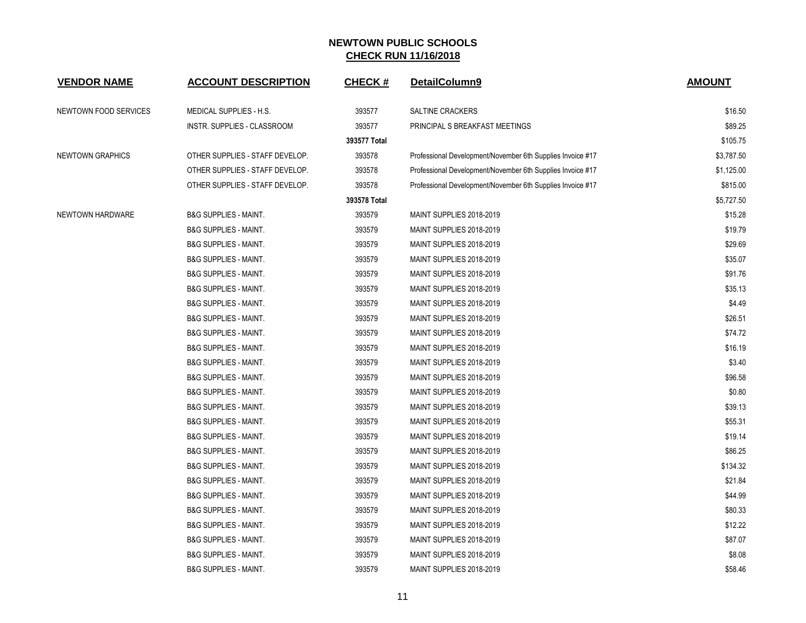| <b>VENDOR NAME</b>    | <b>ACCOUNT DESCRIPTION</b>       | <b>CHECK#</b> | DetailColumn9                                              | <b>AMOUNT</b> |
|-----------------------|----------------------------------|---------------|------------------------------------------------------------|---------------|
| NEWTOWN FOOD SERVICES | MEDICAL SUPPLIES - H.S.          | 393577        | <b>SALTINE CRACKERS</b>                                    | \$16.50       |
|                       | INSTR. SUPPLIES - CLASSROOM      | 393577        | PRINCIPAL S BREAKFAST MEETINGS                             | \$89.25       |
|                       |                                  | 393577 Total  |                                                            | \$105.75      |
| NEWTOWN GRAPHICS      | OTHER SUPPLIES - STAFF DEVELOP.  | 393578        | Professional Development/November 6th Supplies Invoice #17 | \$3,787.50    |
|                       | OTHER SUPPLIES - STAFF DEVELOP.  | 393578        | Professional Development/November 6th Supplies Invoice #17 | \$1,125.00    |
|                       | OTHER SUPPLIES - STAFF DEVELOP.  | 393578        | Professional Development/November 6th Supplies Invoice #17 | \$815.00      |
|                       |                                  | 393578 Total  |                                                            | \$5,727.50    |
| NEWTOWN HARDWARE      | <b>B&amp;G SUPPLIES - MAINT.</b> | 393579        | MAINT SUPPLIES 2018-2019                                   | \$15.28       |
|                       | <b>B&amp;G SUPPLIES - MAINT.</b> | 393579        | MAINT SUPPLIES 2018-2019                                   | \$19.79       |
|                       | <b>B&amp;G SUPPLIES - MAINT.</b> | 393579        | MAINT SUPPLIES 2018-2019                                   | \$29.69       |
|                       | <b>B&amp;G SUPPLIES - MAINT.</b> | 393579        | MAINT SUPPLIES 2018-2019                                   | \$35.07       |
|                       | <b>B&amp;G SUPPLIES - MAINT.</b> | 393579        | MAINT SUPPLIES 2018-2019                                   | \$91.76       |
|                       | <b>B&amp;G SUPPLIES - MAINT.</b> | 393579        | MAINT SUPPLIES 2018-2019                                   | \$35.13       |
|                       | <b>B&amp;G SUPPLIES - MAINT.</b> | 393579        | MAINT SUPPLIES 2018-2019                                   | \$4.49        |
|                       | <b>B&amp;G SUPPLIES - MAINT.</b> | 393579        | MAINT SUPPLIES 2018-2019                                   | \$26.51       |
|                       | <b>B&amp;G SUPPLIES - MAINT.</b> | 393579        | MAINT SUPPLIES 2018-2019                                   | \$74.72       |
|                       | <b>B&amp;G SUPPLIES - MAINT.</b> | 393579        | MAINT SUPPLIES 2018-2019                                   | \$16.19       |
|                       | <b>B&amp;G SUPPLIES - MAINT.</b> | 393579        | MAINT SUPPLIES 2018-2019                                   | \$3.40        |
|                       | <b>B&amp;G SUPPLIES - MAINT.</b> | 393579        | MAINT SUPPLIES 2018-2019                                   | \$96.58       |
|                       | <b>B&amp;G SUPPLIES - MAINT.</b> | 393579        | MAINT SUPPLIES 2018-2019                                   | \$0.80        |
|                       | <b>B&amp;G SUPPLIES - MAINT.</b> | 393579        | MAINT SUPPLIES 2018-2019                                   | \$39.13       |
|                       | <b>B&amp;G SUPPLIES - MAINT.</b> | 393579        | MAINT SUPPLIES 2018-2019                                   | \$55.31       |
|                       | <b>B&amp;G SUPPLIES - MAINT.</b> | 393579        | MAINT SUPPLIES 2018-2019                                   | \$19.14       |
|                       | <b>B&amp;G SUPPLIES - MAINT.</b> | 393579        | MAINT SUPPLIES 2018-2019                                   | \$86.25       |
|                       | <b>B&amp;G SUPPLIES - MAINT.</b> | 393579        | MAINT SUPPLIES 2018-2019                                   | \$134.32      |
|                       | <b>B&amp;G SUPPLIES - MAINT.</b> | 393579        | MAINT SUPPLIES 2018-2019                                   | \$21.84       |
|                       | <b>B&amp;G SUPPLIES - MAINT.</b> | 393579        | MAINT SUPPLIES 2018-2019                                   | \$44.99       |
|                       | <b>B&amp;G SUPPLIES - MAINT.</b> | 393579        | MAINT SUPPLIES 2018-2019                                   | \$80.33       |
|                       | <b>B&amp;G SUPPLIES - MAINT.</b> | 393579        | MAINT SUPPLIES 2018-2019                                   | \$12.22       |
|                       | <b>B&amp;G SUPPLIES - MAINT.</b> | 393579        | MAINT SUPPLIES 2018-2019                                   | \$87.07       |
|                       | <b>B&amp;G SUPPLIES - MAINT.</b> | 393579        | MAINT SUPPLIES 2018-2019                                   | \$8.08        |
|                       | <b>B&amp;G SUPPLIES - MAINT.</b> | 393579        | MAINT SUPPLIES 2018-2019                                   | \$58.46       |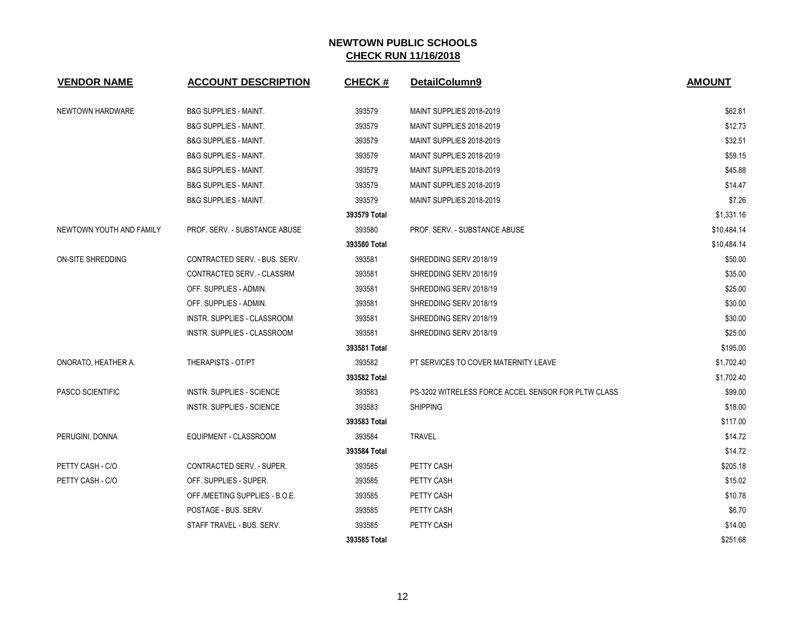| <b>VENDOR NAME</b>       | <b>ACCOUNT DESCRIPTION</b>           | <b>CHECK#</b> | DetailColumn9                                       | <b>AMOUNT</b> |
|--------------------------|--------------------------------------|---------------|-----------------------------------------------------|---------------|
| NEWTOWN HARDWARE         | <b>B&amp;G SUPPLIES - MAINT.</b>     | 393579        | MAINT SUPPLIES 2018-2019                            | \$62.61       |
|                          | <b>B&amp;G SUPPLIES - MAINT.</b>     | 393579        | MAINT SUPPLIES 2018-2019                            | \$12.73       |
|                          | <b>B&amp;G SUPPLIES - MAINT.</b>     | 393579        | MAINT SUPPLIES 2018-2019                            | \$32.51       |
|                          | <b>B&amp;G SUPPLIES - MAINT.</b>     | 393579        | MAINT SUPPLIES 2018-2019                            | \$59.15       |
|                          | <b>B&amp;G SUPPLIES - MAINT.</b>     | 393579        | MAINT SUPPLIES 2018-2019                            | \$45.88       |
|                          | <b>B&amp;G SUPPLIES - MAINT.</b>     | 393579        | MAINT SUPPLIES 2018-2019                            | \$14.47       |
|                          | <b>B&amp;G SUPPLIES - MAINT.</b>     | 393579        | MAINT SUPPLIES 2018-2019                            | \$7.26        |
|                          |                                      | 393579 Total  |                                                     | \$1,331.16    |
| NEWTOWN YOUTH AND FAMILY | <b>PROF. SERV. - SUBSTANCE ABUSE</b> | 393580        | PROF. SERV. - SUBSTANCE ABUSE                       | \$10,484.14   |
|                          |                                      | 393580 Total  |                                                     | \$10,484.14   |
| <b>ON-SITE SHREDDING</b> | CONTRACTED SERV. - BUS. SERV.        | 393581        | SHREDDING SERV 2018/19                              | \$50.00       |
|                          | CONTRACTED SERV. - CLASSRM           | 393581        | SHREDDING SERV 2018/19                              | \$35.00       |
|                          | OFF. SUPPLIES - ADMIN.               | 393581        | SHREDDING SERV 2018/19                              | \$25.00       |
|                          | OFF. SUPPLIES - ADMIN.               | 393581        | SHREDDING SERV 2018/19                              | \$30.00       |
|                          | <b>INSTR. SUPPLIES - CLASSROOM</b>   | 393581        | SHREDDING SERV 2018/19                              | \$30.00       |
|                          | INSTR. SUPPLIES - CLASSROOM          | 393581        | SHREDDING SERV 2018/19                              | \$25.00       |
|                          |                                      | 393581 Total  |                                                     | \$195.00      |
| ONORATO, HEATHER A.      | THERAPISTS - OT/PT                   | 393582        | PT SERVICES TO COVER MATERNITY LEAVE                | \$1,702.40    |
|                          |                                      | 393582 Total  |                                                     | \$1,702.40    |
| PASCO SCIENTIFIC         | <b>INSTR. SUPPLIES - SCIENCE</b>     | 393583        | PS-3202 WITRELESS FORCE ACCEL SENSOR FOR PLTW CLASS | \$99.00       |
|                          | INSTR. SUPPLIES - SCIENCE            | 393583        | <b>SHIPPING</b>                                     | \$18.00       |
|                          |                                      | 393583 Total  |                                                     | \$117.00      |
| PERUGINI, DONNA          | EQUIPMENT - CLASSROOM                | 393584        | <b>TRAVEL</b>                                       | \$14.72       |
|                          |                                      | 393584 Total  |                                                     | \$14.72       |
| PETTY CASH - C/O         | CONTRACTED SERV. - SUPER.            | 393585        | PETTY CASH                                          | \$205.18      |
| PETTY CASH - C/O         | OFF. SUPPLIES - SUPER.               | 393585        | PETTY CASH                                          | \$15.02       |
|                          | OFF./MEETING SUPPLIES - B.O.E.       | 393585        | PETTY CASH                                          | \$10.78       |
|                          | POSTAGE - BUS, SERV.                 | 393585        | PETTY CASH                                          | \$6.70        |
|                          | STAFF TRAVEL - BUS. SERV.            | 393585        | PETTY CASH                                          | \$14.00       |
|                          |                                      | 393585 Total  |                                                     | \$251.68      |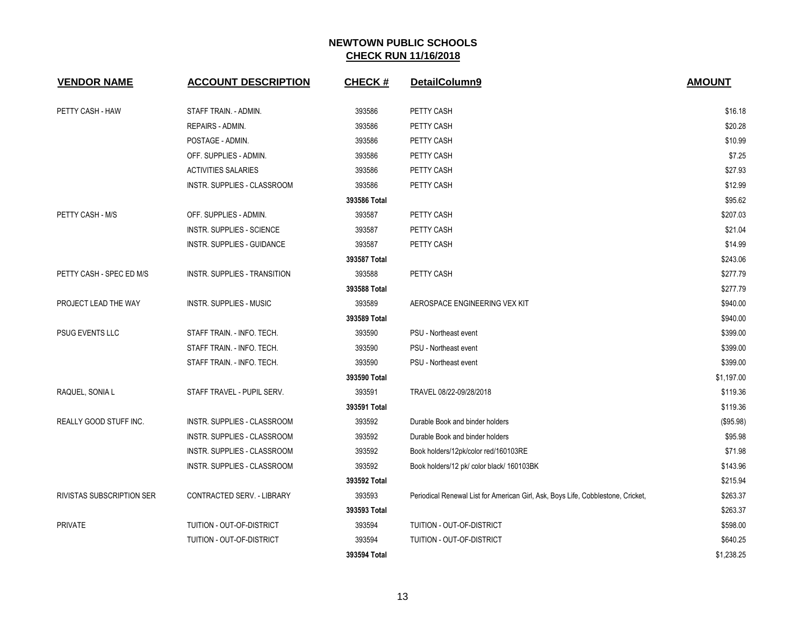| <b>VENDOR NAME</b>               | <b>ACCOUNT DESCRIPTION</b>       | <b>CHECK#</b> | DetailColumn9                                                                    | <b>AMOUNT</b> |
|----------------------------------|----------------------------------|---------------|----------------------------------------------------------------------------------|---------------|
| PETTY CASH - HAW                 | STAFF TRAIN. - ADMIN.            | 393586        | PETTY CASH                                                                       | \$16.18       |
|                                  | REPAIRS - ADMIN.                 | 393586        | PETTY CASH                                                                       | \$20.28       |
|                                  | POSTAGE - ADMIN.                 | 393586        | PETTY CASH                                                                       | \$10.99       |
|                                  | OFF. SUPPLIES - ADMIN.           | 393586        | PETTY CASH                                                                       | \$7.25        |
|                                  | <b>ACTIVITIES SALARIES</b>       | 393586        | PETTY CASH                                                                       | \$27.93       |
|                                  | INSTR. SUPPLIES - CLASSROOM      | 393586        | PETTY CASH                                                                       | \$12.99       |
|                                  |                                  | 393586 Total  |                                                                                  | \$95.62       |
| PETTY CASH - M/S                 | OFF. SUPPLIES - ADMIN.           | 393587        | PETTY CASH                                                                       | \$207.03      |
|                                  | <b>INSTR. SUPPLIES - SCIENCE</b> | 393587        | PETTY CASH                                                                       | \$21.04       |
|                                  | INSTR. SUPPLIES - GUIDANCE       | 393587        | PETTY CASH                                                                       | \$14.99       |
|                                  |                                  | 393587 Total  |                                                                                  | \$243.06      |
| PETTY CASH - SPEC ED M/S         | INSTR. SUPPLIES - TRANSITION     | 393588        | PETTY CASH                                                                       | \$277.79      |
|                                  |                                  | 393588 Total  |                                                                                  | \$277.79      |
| PROJECT LEAD THE WAY             | <b>INSTR. SUPPLIES - MUSIC</b>   | 393589        | AEROSPACE ENGINEERING VEX KIT                                                    | \$940.00      |
|                                  |                                  | 393589 Total  |                                                                                  | \$940.00      |
| PSUG EVENTS LLC                  | STAFF TRAIN. - INFO. TECH.       | 393590        | PSU - Northeast event                                                            | \$399.00      |
|                                  | STAFF TRAIN. - INFO. TECH.       | 393590        | PSU - Northeast event                                                            | \$399.00      |
|                                  | STAFF TRAIN. - INFO. TECH.       | 393590        | PSU - Northeast event                                                            | \$399.00      |
|                                  |                                  | 393590 Total  |                                                                                  | \$1,197.00    |
| RAQUEL, SONIA L                  | STAFF TRAVEL - PUPIL SERV.       | 393591        | TRAVEL 08/22-09/28/2018                                                          | \$119.36      |
|                                  |                                  | 393591 Total  |                                                                                  | \$119.36      |
| REALLY GOOD STUFF INC.           | INSTR. SUPPLIES - CLASSROOM      | 393592        | Durable Book and binder holders                                                  | (\$95.98)     |
|                                  | INSTR. SUPPLIES - CLASSROOM      | 393592        | Durable Book and binder holders                                                  | \$95.98       |
|                                  | INSTR. SUPPLIES - CLASSROOM      | 393592        | Book holders/12pk/color red/160103RE                                             | \$71.98       |
|                                  | INSTR. SUPPLIES - CLASSROOM      | 393592        | Book holders/12 pk/ color black/ 160103BK                                        | \$143.96      |
|                                  |                                  | 393592 Total  |                                                                                  | \$215.94      |
| <b>RIVISTAS SUBSCRIPTION SER</b> | CONTRACTED SERV. - LIBRARY       | 393593        | Periodical Renewal List for American Girl, Ask, Boys Life, Cobblestone, Cricket, | \$263.37      |
|                                  |                                  | 393593 Total  |                                                                                  | \$263.37      |
| <b>PRIVATE</b>                   | TUITION - OUT-OF-DISTRICT        | 393594        | TUITION - OUT-OF-DISTRICT                                                        | \$598.00      |
|                                  | TUITION - OUT-OF-DISTRICT        | 393594        | TUITION - OUT-OF-DISTRICT                                                        | \$640.25      |
|                                  |                                  | 393594 Total  |                                                                                  | \$1,238.25    |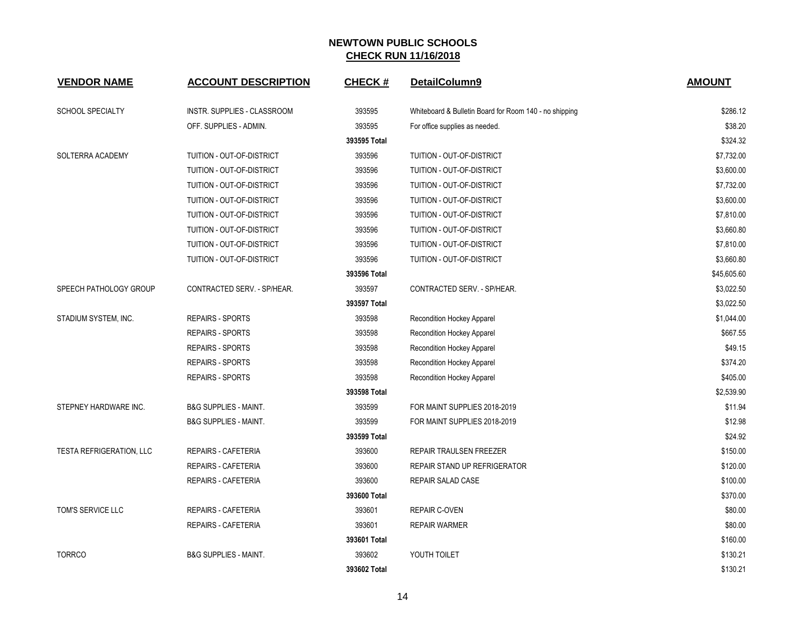| <b>VENDOR NAME</b>                                | <b>ACCOUNT DESCRIPTION</b>         | <b>CHECK#</b> | DetailColumn9                                          | <b>AMOUNT</b> |
|---------------------------------------------------|------------------------------------|---------------|--------------------------------------------------------|---------------|
| <b>SCHOOL SPECIALTY</b><br>OFF. SUPPLIES - ADMIN. | <b>INSTR. SUPPLIES - CLASSROOM</b> | 393595        | Whiteboard & Bulletin Board for Room 140 - no shipping | \$286.12      |
|                                                   |                                    | 393595        | For office supplies as needed.                         | \$38.20       |
|                                                   |                                    | 393595 Total  |                                                        | \$324.32      |
| SOLTERRA ACADEMY                                  | TUITION - OUT-OF-DISTRICT          | 393596        | TUITION - OUT-OF-DISTRICT                              | \$7,732.00    |
|                                                   | TUITION - OUT-OF-DISTRICT          | 393596        | TUITION - OUT-OF-DISTRICT                              | \$3,600.00    |
|                                                   | TUITION - OUT-OF-DISTRICT          | 393596        | TUITION - OUT-OF-DISTRICT                              | \$7,732.00    |
|                                                   | TUITION - OUT-OF-DISTRICT          | 393596        | TUITION - OUT-OF-DISTRICT                              | \$3,600.00    |
|                                                   | TUITION - OUT-OF-DISTRICT          | 393596        | TUITION - OUT-OF-DISTRICT                              | \$7,810.00    |
|                                                   | TUITION - OUT-OF-DISTRICT          | 393596        | TUITION - OUT-OF-DISTRICT                              | \$3,660.80    |
|                                                   | TUITION - OUT-OF-DISTRICT          | 393596        | TUITION - OUT-OF-DISTRICT                              | \$7,810.00    |
|                                                   | TUITION - OUT-OF-DISTRICT          | 393596        | TUITION - OUT-OF-DISTRICT                              | \$3,660.80    |
|                                                   |                                    | 393596 Total  |                                                        | \$45,605.60   |
| SPEECH PATHOLOGY GROUP                            | CONTRACTED SERV. - SP/HEAR.        | 393597        | CONTRACTED SERV. - SP/HEAR.                            | \$3,022.50    |
|                                                   |                                    | 393597 Total  |                                                        | \$3,022.50    |
| STADIUM SYSTEM, INC.                              | <b>REPAIRS - SPORTS</b>            | 393598        | Recondition Hockey Apparel                             | \$1,044.00    |
|                                                   | <b>REPAIRS - SPORTS</b>            | 393598        | Recondition Hockey Apparel                             | \$667.55      |
|                                                   | <b>REPAIRS - SPORTS</b>            | 393598        | Recondition Hockey Apparel                             | \$49.15       |
|                                                   | <b>REPAIRS - SPORTS</b>            | 393598        | Recondition Hockey Apparel                             | \$374.20      |
|                                                   | <b>REPAIRS - SPORTS</b>            | 393598        | Recondition Hockey Apparel                             | \$405.00      |
|                                                   |                                    | 393598 Total  |                                                        | \$2,539.90    |
| STEPNEY HARDWARE INC.                             | <b>B&amp;G SUPPLIES - MAINT.</b>   | 393599        | FOR MAINT SUPPLIES 2018-2019                           | \$11.94       |
|                                                   | <b>B&amp;G SUPPLIES - MAINT.</b>   | 393599        | FOR MAINT SUPPLIES 2018-2019                           | \$12.98       |
|                                                   |                                    | 393599 Total  |                                                        | \$24.92       |
| TESTA REFRIGERATION, LLC                          | <b>REPAIRS - CAFETERIA</b>         | 393600        | <b>REPAIR TRAULSEN FREEZER</b>                         | \$150.00      |
|                                                   | REPAIRS - CAFETERIA                | 393600        | <b>REPAIR STAND UP REFRIGERATOR</b>                    | \$120.00      |
|                                                   | REPAIRS - CAFETERIA                | 393600        | <b>REPAIR SALAD CASE</b>                               | \$100.00      |
|                                                   |                                    | 393600 Total  |                                                        | \$370.00      |
| TOM'S SERVICE LLC                                 | <b>REPAIRS - CAFETERIA</b>         | 393601        | <b>REPAIR C-OVEN</b>                                   | \$80.00       |
|                                                   | <b>REPAIRS - CAFETERIA</b>         | 393601        | <b>REPAIR WARMER</b>                                   | \$80.00       |
|                                                   |                                    | 393601 Total  |                                                        | \$160.00      |
| <b>TORRCO</b>                                     | <b>B&amp;G SUPPLIES - MAINT.</b>   | 393602        | YOUTH TOILET                                           | \$130.21      |
|                                                   |                                    | 393602 Total  |                                                        | \$130.21      |